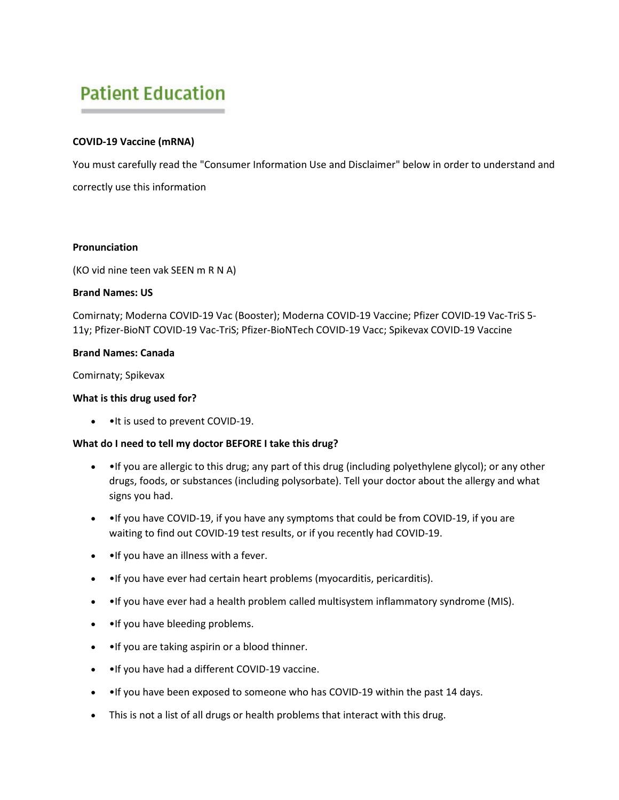# **Patient Education**

## **COVID-19 Vaccine (mRNA)**

You must carefully read the "Consumer Information Use and Disclaimer" below in order to understand and correctly use this information

## **Pronunciation**

(KO vid nine teen vak SEEN m R N A)

## **Brand Names: US**

Comirnaty; Moderna COVID-19 Vac (Booster); Moderna COVID-19 Vaccine; Pfizer COVID-19 Vac-TriS 5- 11y; Pfizer-BioNT COVID-19 Vac-TriS; Pfizer-BioNTech COVID-19 Vacc; Spikevax COVID-19 Vaccine

## **Brand Names: Canada**

Comirnaty; Spikevax

## **What is this drug used for?**

• •It is used to prevent COVID-19.

## **What do I need to tell my doctor BEFORE I take this drug?**

- • If you are allergic to this drug; any part of this drug (including polyethylene glycol); or any other drugs, foods, or substances (including polysorbate). Tell your doctor about the allergy and what signs you had.
- • If you have COVID-19, if you have any symptoms that could be from COVID-19, if you are waiting to find out COVID-19 test results, or if you recently had COVID-19.
- •If you have an illness with a fever.
- •If you have ever had certain heart problems (myocarditis, pericarditis).
- • If you have ever had a health problem called multisystem inflammatory syndrome (MIS).
- •If you have bleeding problems.
- • If you are taking aspirin or a blood thinner.
- • If you have had a different COVID-19 vaccine.
- • If you have been exposed to someone who has COVID-19 within the past 14 days.
- This is not a list of all drugs or health problems that interact with this drug.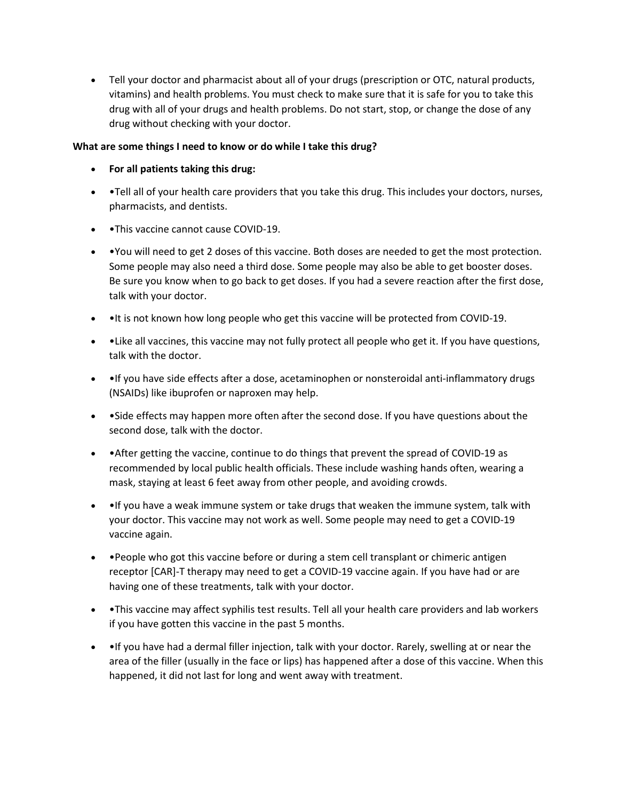• Tell your doctor and pharmacist about all of your drugs (prescription or OTC, natural products, vitamins) and health problems. You must check to make sure that it is safe for you to take this drug with all of your drugs and health problems. Do not start, stop, or change the dose of any drug without checking with your doctor.

## **What are some things I need to know or do while I take this drug?**

- **For all patients taking this drug:**
- •Tell all of your health care providers that you take this drug. This includes your doctors, nurses, pharmacists, and dentists.
- • This vaccine cannot cause COVID-19.
- •You will need to get 2 doses of this vaccine. Both doses are needed to get the most protection. Some people may also need a third dose. Some people may also be able to get booster doses. Be sure you know when to go back to get doses. If you had a severe reaction after the first dose, talk with your doctor.
- • It is not known how long people who get this vaccine will be protected from COVID-19.
- •Like all vaccines, this vaccine may not fully protect all people who get it. If you have questions, talk with the doctor.
- • If you have side effects after a dose, acetaminophen or nonsteroidal anti-inflammatory drugs (NSAIDs) like ibuprofen or naproxen may help.
- •Side effects may happen more often after the second dose. If you have questions about the second dose, talk with the doctor.
- • After getting the vaccine, continue to do things that prevent the spread of COVID-19 as recommended by local public health officials. These include washing hands often, wearing a mask, staying at least 6 feet away from other people, and avoiding crowds.
- •If you have a weak immune system or take drugs that weaken the immune system, talk with your doctor. This vaccine may not work as well. Some people may need to get a COVID-19 vaccine again.
- • People who got this vaccine before or during a stem cell transplant or chimeric antigen receptor [CAR]-T therapy may need to get a COVID-19 vaccine again. If you have had or are having one of these treatments, talk with your doctor.
- •This vaccine may affect syphilis test results. Tell all your health care providers and lab workers if you have gotten this vaccine in the past 5 months.
- • If you have had a dermal filler injection, talk with your doctor. Rarely, swelling at or near the area of the filler (usually in the face or lips) has happened after a dose of this vaccine. When this happened, it did not last for long and went away with treatment.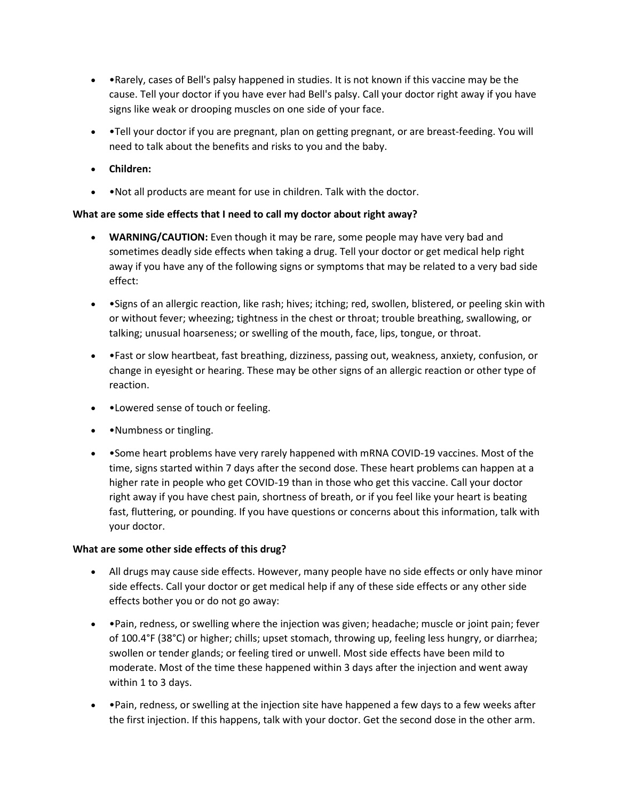- •Rarely, cases of Bell's palsy happened in studies. It is not known if this vaccine may be the cause. Tell your doctor if you have ever had Bell's palsy. Call your doctor right away if you have signs like weak or drooping muscles on one side of your face.
- •Tell your doctor if you are pregnant, plan on getting pregnant, or are breast-feeding. You will need to talk about the benefits and risks to you and the baby.
- **Children:**
- • Not all products are meant for use in children. Talk with the doctor.

## **What are some side effects that I need to call my doctor about right away?**

- **WARNING/CAUTION:** Even though it may be rare, some people may have very bad and sometimes deadly side effects when taking a drug. Tell your doctor or get medical help right away if you have any of the following signs or symptoms that may be related to a very bad side effect:
- •Signs of an allergic reaction, like rash; hives; itching; red, swollen, blistered, or peeling skin with or without fever; wheezing; tightness in the chest or throat; trouble breathing, swallowing, or talking; unusual hoarseness; or swelling of the mouth, face, lips, tongue, or throat.
- •Fast or slow heartbeat, fast breathing, dizziness, passing out, weakness, anxiety, confusion, or change in eyesight or hearing. These may be other signs of an allergic reaction or other type of reaction.
- • Lowered sense of touch or feeling.
- • Numbness or tingling.
- • Some heart problems have very rarely happened with mRNA COVID-19 vaccines. Most of the time, signs started within 7 days after the second dose. These heart problems can happen at a higher rate in people who get COVID-19 than in those who get this vaccine. Call your doctor right away if you have chest pain, shortness of breath, or if you feel like your heart is beating fast, fluttering, or pounding. If you have questions or concerns about this information, talk with your doctor.

## **What are some other side effects of this drug?**

- All drugs may cause side effects. However, many people have no side effects or only have minor side effects. Call your doctor or get medical help if any of these side effects or any other side effects bother you or do not go away:
- •Pain, redness, or swelling where the injection was given; headache; muscle or joint pain; fever of 100.4°F (38°C) or higher; chills; upset stomach, throwing up, feeling less hungry, or diarrhea; swollen or tender glands; or feeling tired or unwell. Most side effects have been mild to moderate. Most of the time these happened within 3 days after the injection and went away within 1 to 3 days.
- •Pain, redness, or swelling at the injection site have happened a few days to a few weeks after the first injection. If this happens, talk with your doctor. Get the second dose in the other arm.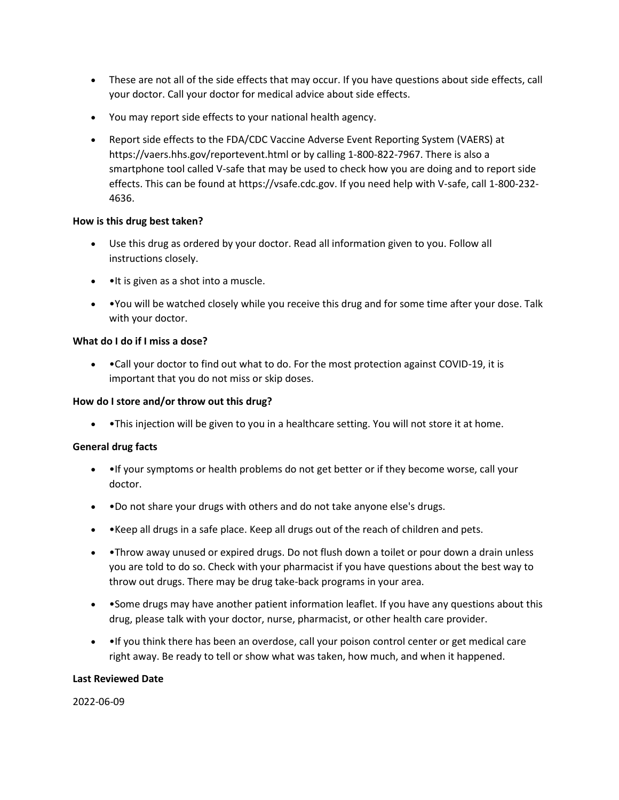- These are not all of the side effects that may occur. If you have questions about side effects, call your doctor. Call your doctor for medical advice about side effects.
- You may report side effects to your national health agency.
- Report side effects to the FDA/CDC Vaccine Adverse Event Reporting System (VAERS) at https://vaers.hhs.gov/reportevent.html or by calling 1-800-822-7967. There is also a smartphone tool called V-safe that may be used to check how you are doing and to report side effects. This can be found at https://vsafe.cdc.gov. If you need help with V-safe, call 1-800-232- 4636.

## **How is this drug best taken?**

- Use this drug as ordered by your doctor. Read all information given to you. Follow all instructions closely.
- •It is given as a shot into a muscle.
- •You will be watched closely while you receive this drug and for some time after your dose. Talk with your doctor.

## **What do I do if I miss a dose?**

• •Call your doctor to find out what to do. For the most protection against COVID-19, it is important that you do not miss or skip doses.

## **How do I store and/or throw out this drug?**

• •This injection will be given to you in a healthcare setting. You will not store it at home.

## **General drug facts**

- • If your symptoms or health problems do not get better or if they become worse, call your doctor.
- •Do not share your drugs with others and do not take anyone else's drugs.
- •Keep all drugs in a safe place. Keep all drugs out of the reach of children and pets.
- •Throw away unused or expired drugs. Do not flush down a toilet or pour down a drain unless you are told to do so. Check with your pharmacist if you have questions about the best way to throw out drugs. There may be drug take-back programs in your area.
- • Some drugs may have another patient information leaflet. If you have any questions about this drug, please talk with your doctor, nurse, pharmacist, or other health care provider.
- • If you think there has been an overdose, call your poison control center or get medical care right away. Be ready to tell or show what was taken, how much, and when it happened.

#### **Last Reviewed Date**

2022-06-09